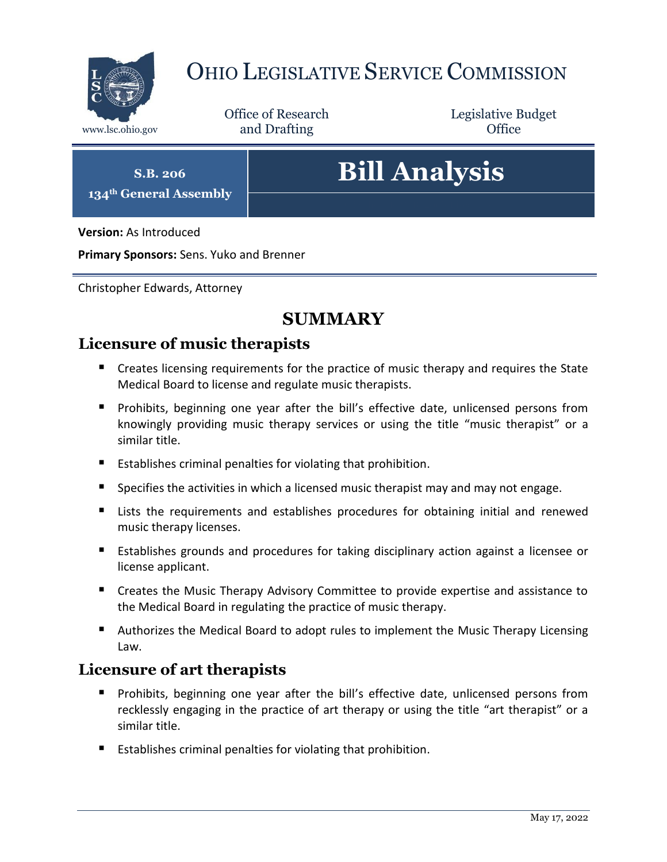

# OHIO LEGISLATIVE SERVICE COMMISSION

Office of Research www.lsc.ohio.gov **and Drafting Office** 

Legislative Budget

**S.B. 206**

**134th General Assembly**

# **Bill Analysis**

**Version:** As Introduced

**Primary Sponsors:** Sens. Yuko and Brenner

Christopher Edwards, Attorney

# **SUMMARY**

# **Licensure of music therapists**

- **E** Creates licensing requirements for the practice of music therapy and requires the State Medical Board to license and regulate music therapists.
- Prohibits, beginning one year after the bill's effective date, unlicensed persons from knowingly providing music therapy services or using the title "music therapist" or a similar title.
- Establishes criminal penalties for violating that prohibition.
- **Specifies the activities in which a licensed music therapist may and may not engage.**
- Lists the requirements and establishes procedures for obtaining initial and renewed music therapy licenses.
- Establishes grounds and procedures for taking disciplinary action against a licensee or license applicant.
- Creates the Music Therapy Advisory Committee to provide expertise and assistance to the Medical Board in regulating the practice of music therapy.
- Authorizes the Medical Board to adopt rules to implement the Music Therapy Licensing Law.

# **Licensure of art therapists**

- **Perohibits, beginning one year after the bill's effective date, unlicensed persons from** recklessly engaging in the practice of art therapy or using the title "art therapist" or a similar title.
- Establishes criminal penalties for violating that prohibition.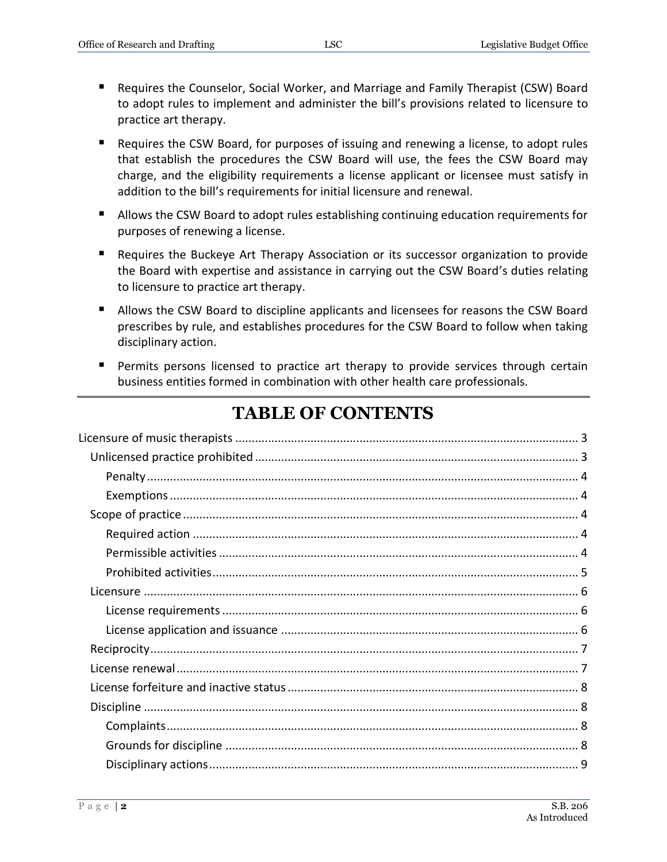- Requires the Counselor, Social Worker, and Marriage and Family Therapist (CSW) Board to adopt rules to implement and administer the bill's provisions related to licensure to practice art therapy.
- Requires the CSW Board, for purposes of issuing and renewing a license, to adopt rules that establish the procedures the CSW Board will use, the fees the CSW Board may charge, and the eligibility requirements a license applicant or licensee must satisfy in addition to the bill's requirements for initial licensure and renewal.
- Allows the CSW Board to adopt rules establishing continuing education requirements for purposes of renewing a license.
- Requires the Buckeye Art Therapy Association or its successor organization to provide the Board with expertise and assistance in carrying out the CSW Board's duties relating to licensure to practice art therapy.
- Allows the CSW Board to discipline applicants and licensees for reasons the CSW Board prescribes by rule, and establishes procedures for the CSW Board to follow when taking disciplinary action.
- **Permits persons licensed to practice art therapy to provide services through certain** business entities formed in combination with other health care professionals.

# **TABLE OF CONTENTS**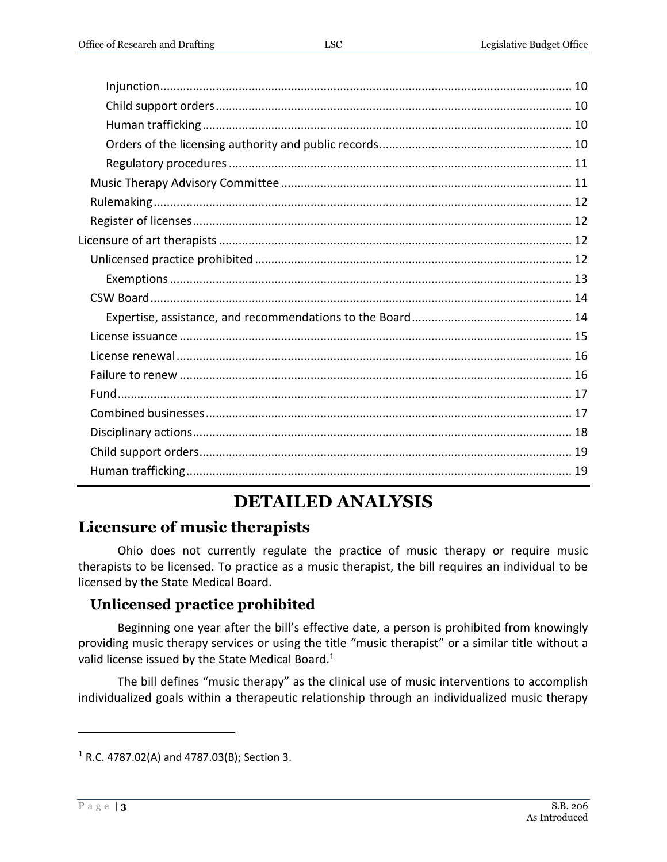# **DETAILED ANALYSIS**

# <span id="page-2-0"></span>**Licensure of music therapists**

Ohio does not currently regulate the practice of music therapy or require music therapists to be licensed. To practice as a music therapist, the bill requires an individual to be licensed by the State Medical Board.

# <span id="page-2-1"></span>**Unlicensed practice prohibited**

Beginning one year after the bill's effective date, a person is prohibited from knowingly providing music therapy services or using the title "music therapist" or a similar title without a valid license issued by the State Medical Board.<sup>1</sup>

The bill defines "music therapy" as the clinical use of music interventions to accomplish individualized goals within a therapeutic relationship through an individualized music therapy

 $1$  R.C. 4787.02(A) and 4787.03(B); Section 3.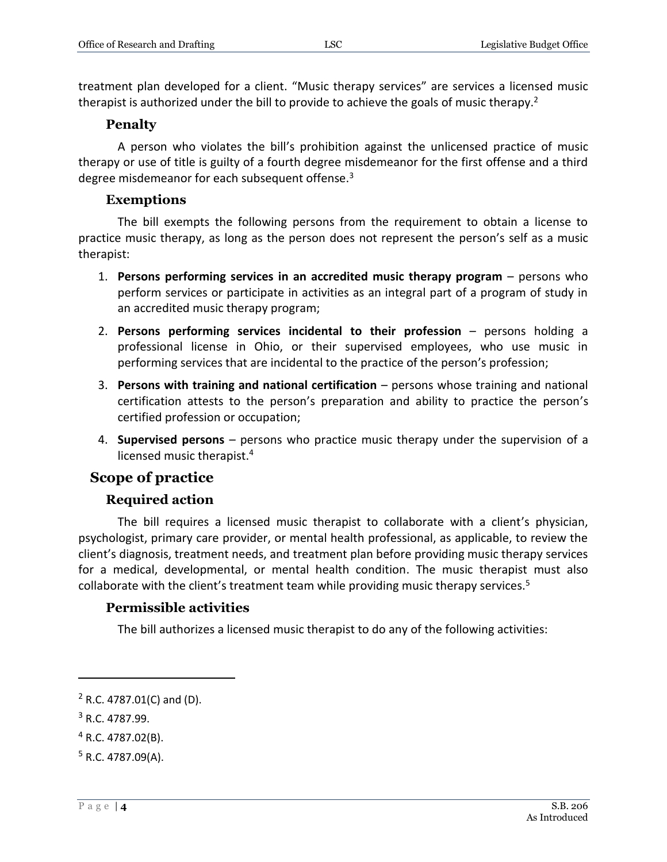treatment plan developed for a client. "Music therapy services" are services a licensed music therapist is authorized under the bill to provide to achieve the goals of music therapy.<sup>2</sup>

#### **Penalty**

<span id="page-3-0"></span>A person who violates the bill's prohibition against the unlicensed practice of music therapy or use of title is guilty of a fourth degree misdemeanor for the first offense and a third degree misdemeanor for each subsequent offense.<sup>3</sup>

#### **Exemptions**

<span id="page-3-1"></span>The bill exempts the following persons from the requirement to obtain a license to practice music therapy, as long as the person does not represent the person's self as a music therapist:

- 1. **Persons performing services in an accredited music therapy program** persons who perform services or participate in activities as an integral part of a program of study in an accredited music therapy program;
- 2. **Persons performing services incidental to their profession** persons holding a professional license in Ohio, or their supervised employees, who use music in performing services that are incidental to the practice of the person's profession;
- 3. **Persons with training and national certification** persons whose training and national certification attests to the person's preparation and ability to practice the person's certified profession or occupation;
- 4. **Supervised persons** persons who practice music therapy under the supervision of a licensed music therapist.<sup>4</sup>

#### <span id="page-3-2"></span>**Scope of practice**

#### **Required action**

<span id="page-3-3"></span>The bill requires a licensed music therapist to collaborate with a client's physician, psychologist, primary care provider, or mental health professional, as applicable, to review the client's diagnosis, treatment needs, and treatment plan before providing music therapy services for a medical, developmental, or mental health condition. The music therapist must also collaborate with the client's treatment team while providing music therapy services.<sup>5</sup>

#### <span id="page-3-4"></span>**Permissible activities**

The bill authorizes a licensed music therapist to do any of the following activities:

 $2$  R.C. 4787.01(C) and (D).

<sup>3</sup> R.C. 4787.99.

 $4$  R.C. 4787.02(B).

 $5$  R.C. 4787.09(A).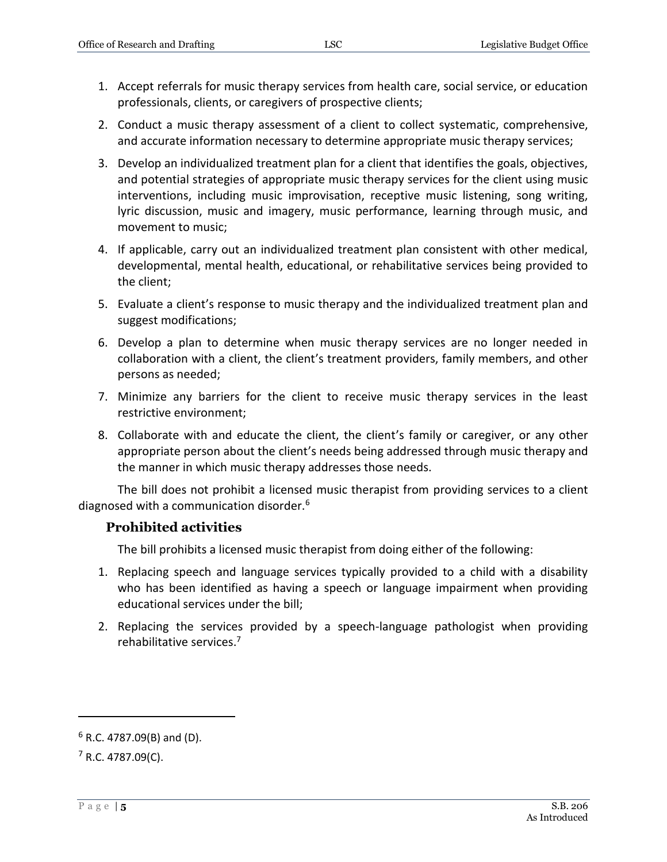- 1. Accept referrals for music therapy services from health care, social service, or education professionals, clients, or caregivers of prospective clients;
- 2. Conduct a music therapy assessment of a client to collect systematic, comprehensive, and accurate information necessary to determine appropriate music therapy services;
- 3. Develop an individualized treatment plan for a client that identifies the goals, objectives, and potential strategies of appropriate music therapy services for the client using music interventions, including music improvisation, receptive music listening, song writing, lyric discussion, music and imagery, music performance, learning through music, and movement to music;
- 4. If applicable, carry out an individualized treatment plan consistent with other medical, developmental, mental health, educational, or rehabilitative services being provided to the client;
- 5. Evaluate a client's response to music therapy and the individualized treatment plan and suggest modifications;
- 6. Develop a plan to determine when music therapy services are no longer needed in collaboration with a client, the client's treatment providers, family members, and other persons as needed;
- 7. Minimize any barriers for the client to receive music therapy services in the least restrictive environment;
- 8. Collaborate with and educate the client, the client's family or caregiver, or any other appropriate person about the client's needs being addressed through music therapy and the manner in which music therapy addresses those needs.

The bill does not prohibit a licensed music therapist from providing services to a client diagnosed with a communication disorder.<sup>6</sup>

#### <span id="page-4-0"></span>**Prohibited activities**

The bill prohibits a licensed music therapist from doing either of the following:

- 1. Replacing speech and language services typically provided to a child with a disability who has been identified as having a speech or language impairment when providing educational services under the bill;
- 2. Replacing the services provided by a speech-language pathologist when providing rehabilitative services.<sup>7</sup>

 $6$  R.C. 4787.09(B) and (D).

 $7$  R.C. 4787.09(C).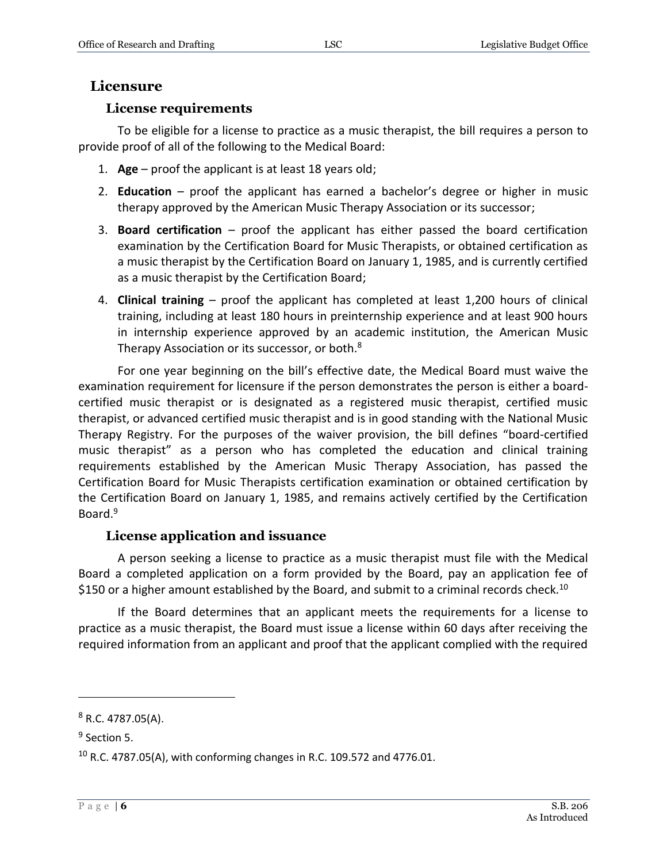### <span id="page-5-0"></span>**Licensure**

#### **License requirements**

<span id="page-5-1"></span>To be eligible for a license to practice as a music therapist, the bill requires a person to provide proof of all of the following to the Medical Board:

- 1. **Age** proof the applicant is at least 18 years old;
- 2. **Education** proof the applicant has earned a bachelor's degree or higher in music therapy approved by the American Music Therapy Association or its successor;
- 3. **Board certification** proof the applicant has either passed the board certification examination by the Certification Board for Music Therapists, or obtained certification as a music therapist by the Certification Board on January 1, 1985, and is currently certified as a music therapist by the Certification Board;
- 4. **Clinical training** proof the applicant has completed at least 1,200 hours of clinical training, including at least 180 hours in preinternship experience and at least 900 hours in internship experience approved by an academic institution, the American Music Therapy Association or its successor, or both.<sup>8</sup>

For one year beginning on the bill's effective date, the Medical Board must waive the examination requirement for licensure if the person demonstrates the person is either a boardcertified music therapist or is designated as a registered music therapist, certified music therapist, or advanced certified music therapist and is in good standing with the National Music Therapy Registry. For the purposes of the waiver provision, the bill defines "board-certified music therapist" as a person who has completed the education and clinical training requirements established by the American Music Therapy Association, has passed the Certification Board for Music Therapists certification examination or obtained certification by the Certification Board on January 1, 1985, and remains actively certified by the Certification Board.<sup>9</sup>

#### **License application and issuance**

<span id="page-5-2"></span>A person seeking a license to practice as a music therapist must file with the Medical Board a completed application on a form provided by the Board, pay an application fee of \$150 or a higher amount established by the Board, and submit to a criminal records check.<sup>10</sup>

If the Board determines that an applicant meets the requirements for a license to practice as a music therapist, the Board must issue a license within 60 days after receiving the required information from an applicant and proof that the applicant complied with the required

 $8$  R.C. 4787.05(A).

<sup>&</sup>lt;sup>9</sup> Section 5.

 $10$  R.C. 4787.05(A), with conforming changes in R.C. 109.572 and 4776.01.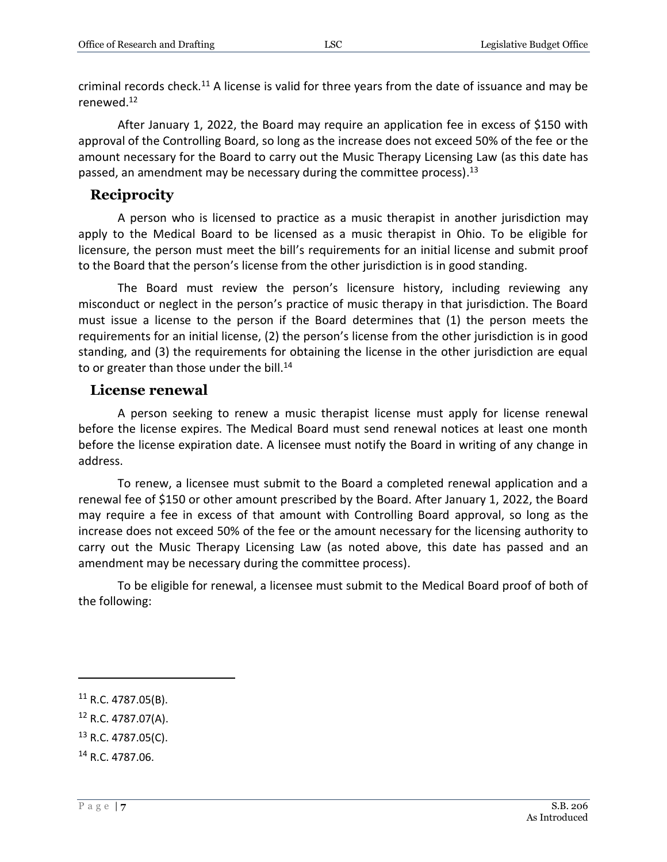criminal records check.<sup>11</sup> A license is valid for three years from the date of issuance and may be renewed.<sup>12</sup>

After January 1, 2022, the Board may require an application fee in excess of \$150 with approval of the Controlling Board, so long as the increase does not exceed 50% of the fee or the amount necessary for the Board to carry out the Music Therapy Licensing Law (as this date has passed, an amendment may be necessary during the committee process).<sup>13</sup>

### <span id="page-6-0"></span>**Reciprocity**

A person who is licensed to practice as a music therapist in another jurisdiction may apply to the Medical Board to be licensed as a music therapist in Ohio. To be eligible for licensure, the person must meet the bill's requirements for an initial license and submit proof to the Board that the person's license from the other jurisdiction is in good standing.

The Board must review the person's licensure history, including reviewing any misconduct or neglect in the person's practice of music therapy in that jurisdiction. The Board must issue a license to the person if the Board determines that (1) the person meets the requirements for an initial license, (2) the person's license from the other jurisdiction is in good standing, and (3) the requirements for obtaining the license in the other jurisdiction are equal to or greater than those under the bill. $14$ 

#### <span id="page-6-1"></span>**License renewal**

A person seeking to renew a music therapist license must apply for license renewal before the license expires. The Medical Board must send renewal notices at least one month before the license expiration date. A licensee must notify the Board in writing of any change in address.

To renew, a licensee must submit to the Board a completed renewal application and a renewal fee of \$150 or other amount prescribed by the Board. After January 1, 2022, the Board may require a fee in excess of that amount with Controlling Board approval, so long as the increase does not exceed 50% of the fee or the amount necessary for the licensing authority to carry out the Music Therapy Licensing Law (as noted above, this date has passed and an amendment may be necessary during the committee process).

To be eligible for renewal, a licensee must submit to the Medical Board proof of both of the following:

- $12$  R.C. 4787.07(A).
- $13$  R.C. 4787.05(C).
- <sup>14</sup> R.C. 4787.06.

 $11$  R.C. 4787.05(B).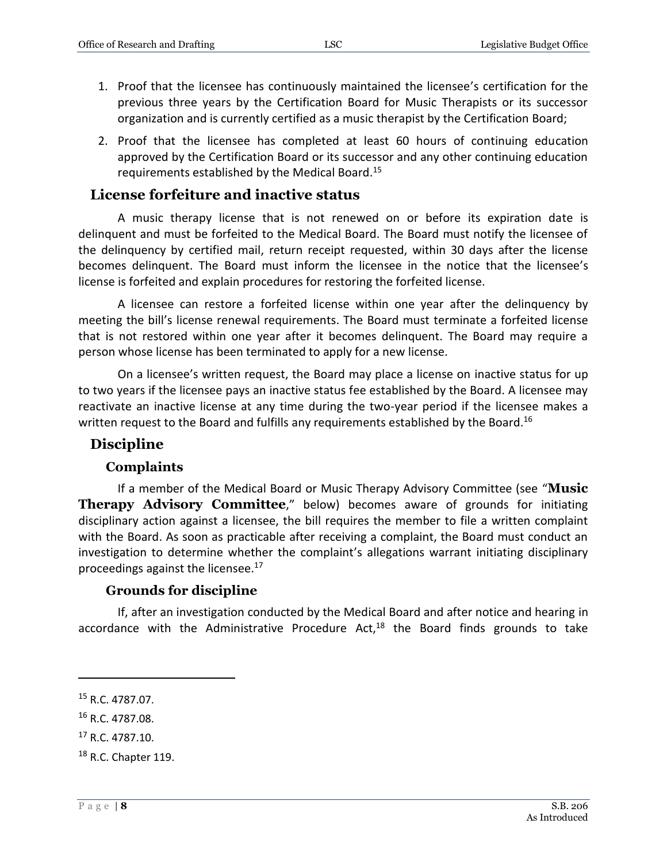- 1. Proof that the licensee has continuously maintained the licensee's certification for the previous three years by the Certification Board for Music Therapists or its successor organization and is currently certified as a music therapist by the Certification Board;
- 2. Proof that the licensee has completed at least 60 hours of continuing education approved by the Certification Board or its successor and any other continuing education requirements established by the Medical Board.<sup>15</sup>

#### <span id="page-7-0"></span>**License forfeiture and inactive status**

A music therapy license that is not renewed on or before its expiration date is delinquent and must be forfeited to the Medical Board. The Board must notify the licensee of the delinquency by certified mail, return receipt requested, within 30 days after the license becomes delinquent. The Board must inform the licensee in the notice that the licensee's license is forfeited and explain procedures for restoring the forfeited license.

A licensee can restore a forfeited license within one year after the delinquency by meeting the bill's license renewal requirements. The Board must terminate a forfeited license that is not restored within one year after it becomes delinquent. The Board may require a person whose license has been terminated to apply for a new license.

On a licensee's written request, the Board may place a license on inactive status for up to two years if the licensee pays an inactive status fee established by the Board. A licensee may reactivate an inactive license at any time during the two-year period if the licensee makes a written request to the Board and fulfills any requirements established by the Board.<sup>16</sup>

#### <span id="page-7-1"></span>**Discipline**

#### **Complaints**

<span id="page-7-2"></span>If a member of the Medical Board or Music Therapy Advisory Committee (see "**Music Therapy Advisory Committee**," below) becomes aware of grounds for initiating disciplinary action against a licensee, the bill requires the member to file a written complaint with the Board. As soon as practicable after receiving a complaint, the Board must conduct an investigation to determine whether the complaint's allegations warrant initiating disciplinary proceedings against the licensee.<sup>17</sup>

#### **Grounds for discipline**

<span id="page-7-3"></span>If, after an investigation conducted by the Medical Board and after notice and hearing in accordance with the Administrative Procedure Act, $^{18}$  the Board finds grounds to take

<sup>15</sup> R.C. 4787.07.

<sup>16</sup> R.C. 4787.08.

<sup>&</sup>lt;sup>17</sup> R.C. 4787.10.

<sup>18</sup> R.C. Chapter 119.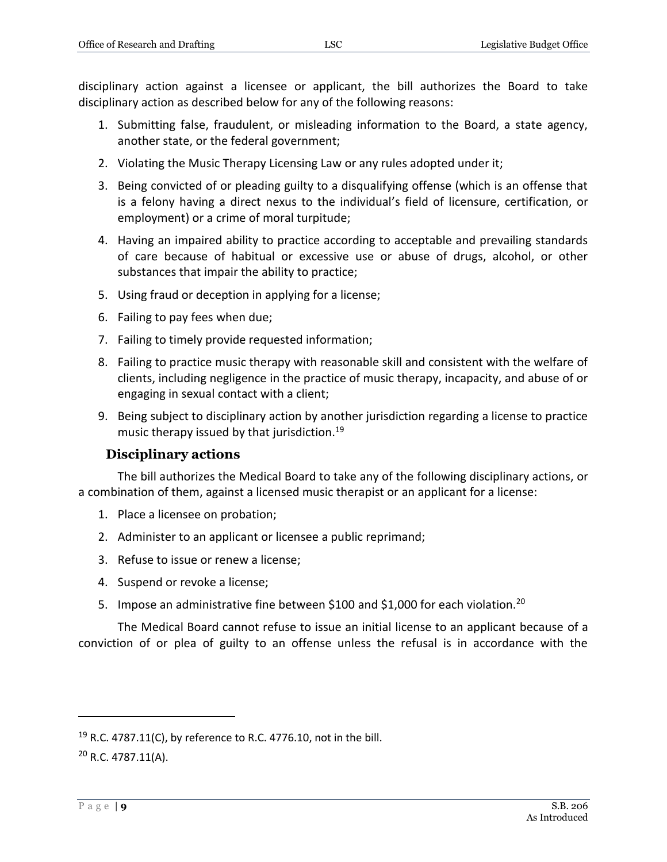disciplinary action against a licensee or applicant, the bill authorizes the Board to take disciplinary action as described below for any of the following reasons:

- 1. Submitting false, fraudulent, or misleading information to the Board, a state agency, another state, or the federal government;
- 2. Violating the Music Therapy Licensing Law or any rules adopted under it;
- 3. Being convicted of or pleading guilty to a disqualifying offense (which is an offense that is a felony having a direct nexus to the individual's field of licensure, certification, or employment) or a crime of moral turpitude;
- 4. Having an impaired ability to practice according to acceptable and prevailing standards of care because of habitual or excessive use or abuse of drugs, alcohol, or other substances that impair the ability to practice;
- 5. Using fraud or deception in applying for a license;
- 6. Failing to pay fees when due;
- 7. Failing to timely provide requested information;
- 8. Failing to practice music therapy with reasonable skill and consistent with the welfare of clients, including negligence in the practice of music therapy, incapacity, and abuse of or engaging in sexual contact with a client;
- 9. Being subject to disciplinary action by another jurisdiction regarding a license to practice music therapy issued by that jurisdiction.<sup>19</sup>

#### **Disciplinary actions**

<span id="page-8-0"></span>The bill authorizes the Medical Board to take any of the following disciplinary actions, or a combination of them, against a licensed music therapist or an applicant for a license:

- 1. Place a licensee on probation;
- 2. Administer to an applicant or licensee a public reprimand;
- 3. Refuse to issue or renew a license;
- 4. Suspend or revoke a license;
- 5. Impose an administrative fine between \$100 and \$1,000 for each violation.<sup>20</sup>

The Medical Board cannot refuse to issue an initial license to an applicant because of a conviction of or plea of guilty to an offense unless the refusal is in accordance with the

<sup>20</sup> R.C. 4787.11(A).

<sup>&</sup>lt;sup>19</sup> R.C. 4787.11(C), by reference to R.C. 4776.10, not in the bill.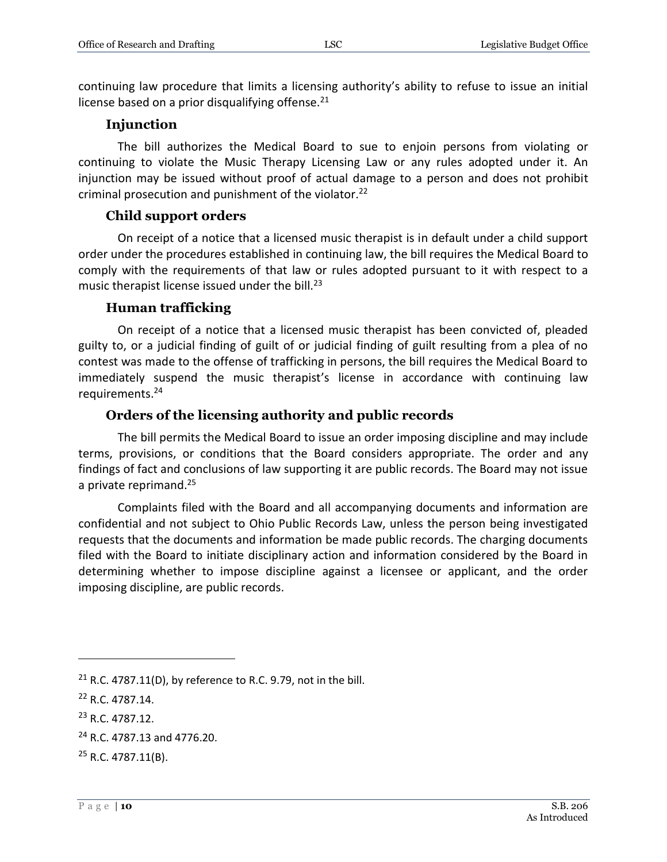continuing law procedure that limits a licensing authority's ability to refuse to issue an initial license based on a prior disqualifying offense. $21$ 

#### **Injunction**

<span id="page-9-0"></span>The bill authorizes the Medical Board to sue to enjoin persons from violating or continuing to violate the Music Therapy Licensing Law or any rules adopted under it. An injunction may be issued without proof of actual damage to a person and does not prohibit criminal prosecution and punishment of the violator.<sup>22</sup>

#### **Child support orders**

<span id="page-9-1"></span>On receipt of a notice that a licensed music therapist is in default under a child support order under the procedures established in continuing law, the bill requires the Medical Board to comply with the requirements of that law or rules adopted pursuant to it with respect to a music therapist license issued under the bill. $^{23}$ 

#### **Human trafficking**

<span id="page-9-2"></span>On receipt of a notice that a licensed music therapist has been convicted of, pleaded guilty to, or a judicial finding of guilt of or judicial finding of guilt resulting from a plea of no contest was made to the offense of trafficking in persons, the bill requires the Medical Board to immediately suspend the music therapist's license in accordance with continuing law requirements.<sup>24</sup>

#### **Orders of the licensing authority and public records**

<span id="page-9-3"></span>The bill permits the Medical Board to issue an order imposing discipline and may include terms, provisions, or conditions that the Board considers appropriate. The order and any findings of fact and conclusions of law supporting it are public records. The Board may not issue a private reprimand.<sup>25</sup>

Complaints filed with the Board and all accompanying documents and information are confidential and not subject to Ohio Public Records Law, unless the person being investigated requests that the documents and information be made public records. The charging documents filed with the Board to initiate disciplinary action and information considered by the Board in determining whether to impose discipline against a licensee or applicant, and the order imposing discipline, are public records.

 $21$  R.C. 4787.11(D), by reference to R.C. 9.79, not in the bill.

<sup>22</sup> R.C. 4787.14.

<sup>23</sup> R.C. 4787.12.

<sup>24</sup> R.C. 4787.13 and 4776.20.

<sup>25</sup> R.C. 4787.11(B).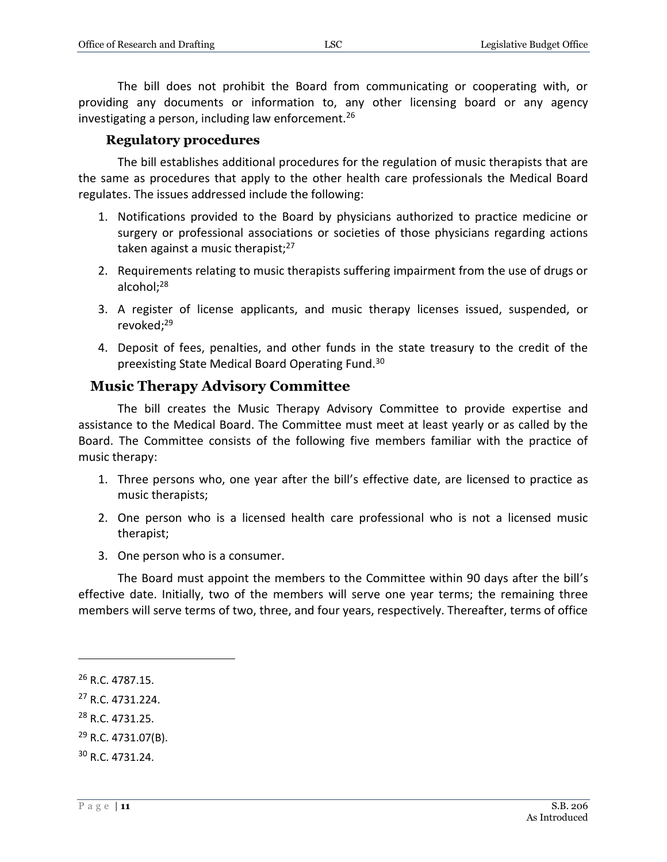The bill does not prohibit the Board from communicating or cooperating with, or providing any documents or information to, any other licensing board or any agency investigating a person, including law enforcement.<sup>26</sup>

#### **Regulatory procedures**

<span id="page-10-0"></span>The bill establishes additional procedures for the regulation of music therapists that are the same as procedures that apply to the other health care professionals the Medical Board regulates. The issues addressed include the following:

- 1. Notifications provided to the Board by physicians authorized to practice medicine or surgery or professional associations or societies of those physicians regarding actions taken against a music therapist; $27$
- 2. Requirements relating to music therapists suffering impairment from the use of drugs or alcohol;<sup>28</sup>
- 3. A register of license applicants, and music therapy licenses issued, suspended, or revoked;<sup>29</sup>
- 4. Deposit of fees, penalties, and other funds in the state treasury to the credit of the preexisting State Medical Board Operating Fund.<sup>30</sup>

#### <span id="page-10-1"></span>**Music Therapy Advisory Committee**

The bill creates the Music Therapy Advisory Committee to provide expertise and assistance to the Medical Board. The Committee must meet at least yearly or as called by the Board. The Committee consists of the following five members familiar with the practice of music therapy:

- 1. Three persons who, one year after the bill's effective date, are licensed to practice as music therapists;
- 2. One person who is a licensed health care professional who is not a licensed music therapist;
- 3. One person who is a consumer.

The Board must appoint the members to the Committee within 90 days after the bill's effective date. Initially, two of the members will serve one year terms; the remaining three members will serve terms of two, three, and four years, respectively. Thereafter, terms of office

 $\overline{a}$ 

<sup>28</sup> R.C. 4731.25.

<sup>26</sup> R.C. 4787.15.

<sup>27</sup> R.C. 4731.224.

 $^{29}$  R.C. 4731.07(B).

<sup>30</sup> R.C. 4731.24.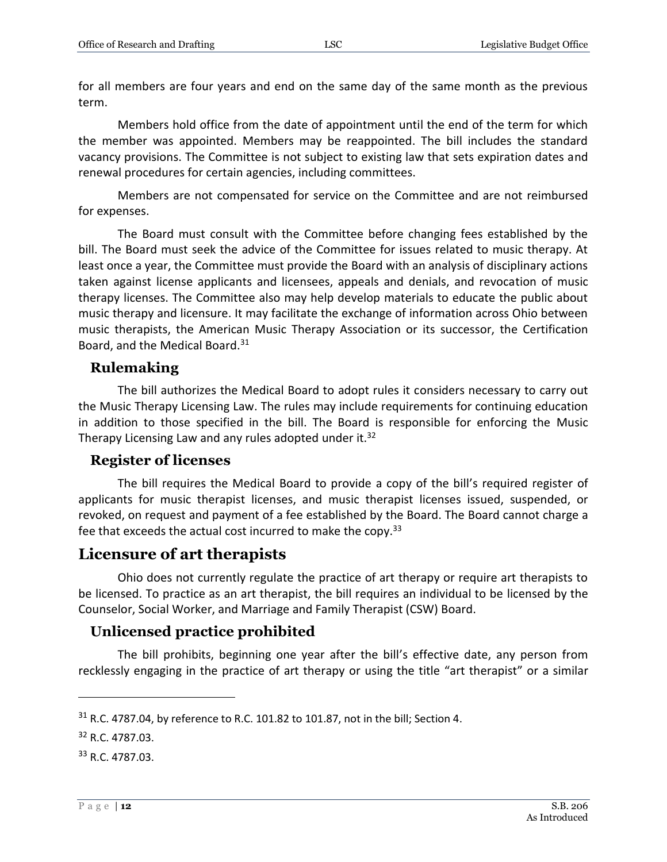for all members are four years and end on the same day of the same month as the previous term.

Members hold office from the date of appointment until the end of the term for which the member was appointed. Members may be reappointed. The bill includes the standard vacancy provisions. The Committee is not subject to existing law that sets expiration dates and renewal procedures for certain agencies, including committees.

Members are not compensated for service on the Committee and are not reimbursed for expenses.

The Board must consult with the Committee before changing fees established by the bill. The Board must seek the advice of the Committee for issues related to music therapy. At least once a year, the Committee must provide the Board with an analysis of disciplinary actions taken against license applicants and licensees, appeals and denials, and revocation of music therapy licenses. The Committee also may help develop materials to educate the public about music therapy and licensure. It may facilitate the exchange of information across Ohio between music therapists, the American Music Therapy Association or its successor, the Certification Board, and the Medical Board.<sup>31</sup>

## <span id="page-11-0"></span>**Rulemaking**

The bill authorizes the Medical Board to adopt rules it considers necessary to carry out the Music Therapy Licensing Law. The rules may include requirements for continuing education in addition to those specified in the bill. The Board is responsible for enforcing the Music Therapy Licensing Law and any rules adopted under it. $32$ 

## <span id="page-11-1"></span>**Register of licenses**

The bill requires the Medical Board to provide a copy of the bill's required register of applicants for music therapist licenses, and music therapist licenses issued, suspended, or revoked, on request and payment of a fee established by the Board. The Board cannot charge a fee that exceeds the actual cost incurred to make the copy.<sup>33</sup>

# <span id="page-11-2"></span>**Licensure of art therapists**

Ohio does not currently regulate the practice of art therapy or require art therapists to be licensed. To practice as an art therapist, the bill requires an individual to be licensed by the Counselor, Social Worker, and Marriage and Family Therapist (CSW) Board.

# <span id="page-11-3"></span>**Unlicensed practice prohibited**

The bill prohibits, beginning one year after the bill's effective date, any person from recklessly engaging in the practice of art therapy or using the title "art therapist" or a similar

 $31$  R.C. 4787.04, by reference to R.C. 101.82 to 101.87, not in the bill; Section 4.

<sup>32</sup> R.C. 4787.03.

<sup>33</sup> R.C. 4787.03.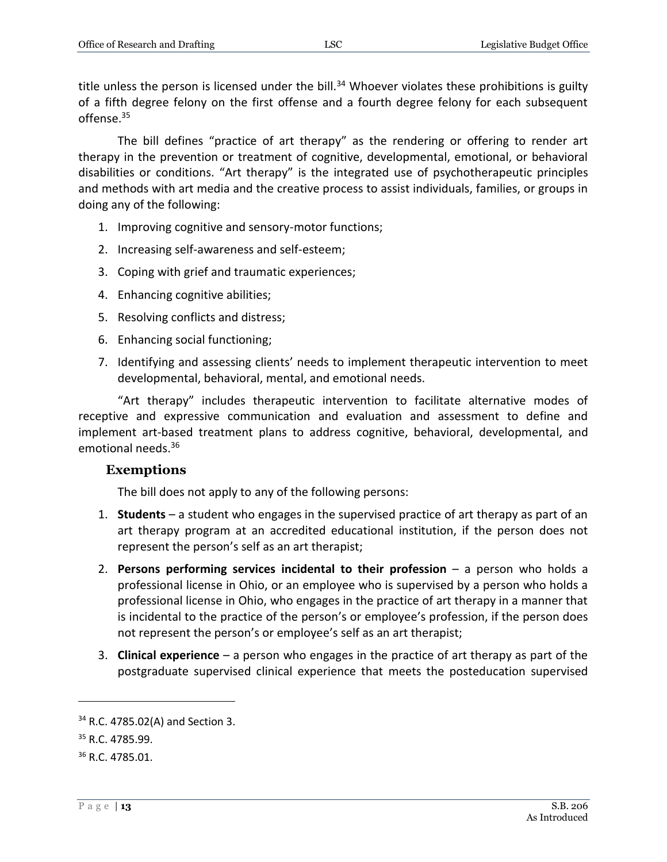title unless the person is licensed under the bill.<sup>34</sup> Whoever violates these prohibitions is guilty of a fifth degree felony on the first offense and a fourth degree felony for each subsequent offense.<sup>35</sup>

The bill defines "practice of art therapy" as the rendering or offering to render art therapy in the prevention or treatment of cognitive, developmental, emotional, or behavioral disabilities or conditions. "Art therapy" is the integrated use of psychotherapeutic principles and methods with art media and the creative process to assist individuals, families, or groups in doing any of the following:

- 1. Improving cognitive and sensory-motor functions;
- 2. Increasing self-awareness and self-esteem;
- 3. Coping with grief and traumatic experiences;
- 4. Enhancing cognitive abilities;
- 5. Resolving conflicts and distress;
- 6. Enhancing social functioning;
- 7. Identifying and assessing clients' needs to implement therapeutic intervention to meet developmental, behavioral, mental, and emotional needs.

"Art therapy" includes therapeutic intervention to facilitate alternative modes of receptive and expressive communication and evaluation and assessment to define and implement art-based treatment plans to address cognitive, behavioral, developmental, and emotional needs.<sup>36</sup>

#### <span id="page-12-0"></span>**Exemptions**

The bill does not apply to any of the following persons:

- 1. **Students** a student who engages in the supervised practice of art therapy as part of an art therapy program at an accredited educational institution, if the person does not represent the person's self as an art therapist;
- 2. **Persons performing services incidental to their profession** a person who holds a professional license in Ohio, or an employee who is supervised by a person who holds a professional license in Ohio, who engages in the practice of art therapy in a manner that is incidental to the practice of the person's or employee's profession, if the person does not represent the person's or employee's self as an art therapist;
- 3. **Clinical experience** a person who engages in the practice of art therapy as part of the postgraduate supervised clinical experience that meets the posteducation supervised

<sup>34</sup> R.C. 4785.02(A) and Section 3.

<sup>&</sup>lt;sup>35</sup> R.C. 4785.99.

<sup>36</sup> R.C. 4785.01.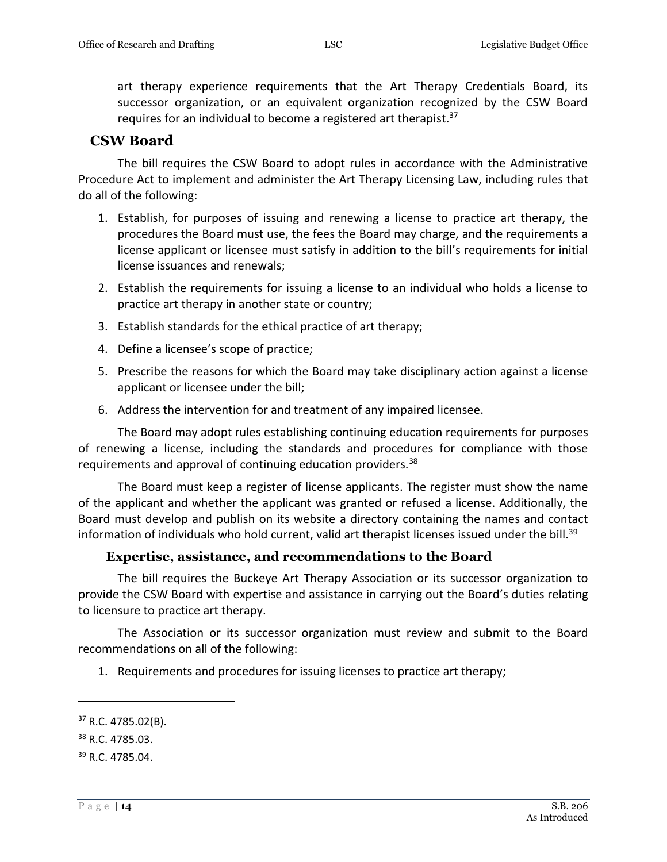art therapy experience requirements that the Art Therapy Credentials Board, its successor organization, or an equivalent organization recognized by the CSW Board requires for an individual to become a registered art therapist.<sup>37</sup>

#### <span id="page-13-0"></span>**CSW Board**

The bill requires the CSW Board to adopt rules in accordance with the Administrative Procedure Act to implement and administer the Art Therapy Licensing Law, including rules that do all of the following:

- 1. Establish, for purposes of issuing and renewing a license to practice art therapy, the procedures the Board must use, the fees the Board may charge, and the requirements a license applicant or licensee must satisfy in addition to the bill's requirements for initial license issuances and renewals;
- 2. Establish the requirements for issuing a license to an individual who holds a license to practice art therapy in another state or country;
- 3. Establish standards for the ethical practice of art therapy;
- 4. Define a licensee's scope of practice;
- 5. Prescribe the reasons for which the Board may take disciplinary action against a license applicant or licensee under the bill;
- 6. Address the intervention for and treatment of any impaired licensee.

The Board may adopt rules establishing continuing education requirements for purposes of renewing a license, including the standards and procedures for compliance with those requirements and approval of continuing education providers.<sup>38</sup>

The Board must keep a register of license applicants. The register must show the name of the applicant and whether the applicant was granted or refused a license. Additionally, the Board must develop and publish on its website a directory containing the names and contact information of individuals who hold current, valid art therapist licenses issued under the bill.<sup>39</sup>

#### **Expertise, assistance, and recommendations to the Board**

<span id="page-13-1"></span>The bill requires the Buckeye Art Therapy Association or its successor organization to provide the CSW Board with expertise and assistance in carrying out the Board's duties relating to licensure to practice art therapy.

The Association or its successor organization must review and submit to the Board recommendations on all of the following:

1. Requirements and procedures for issuing licenses to practice art therapy;

<sup>37</sup> R.C. 4785.02(B).

<sup>38</sup> R.C. 4785.03.

<sup>39</sup> R.C. 4785.04.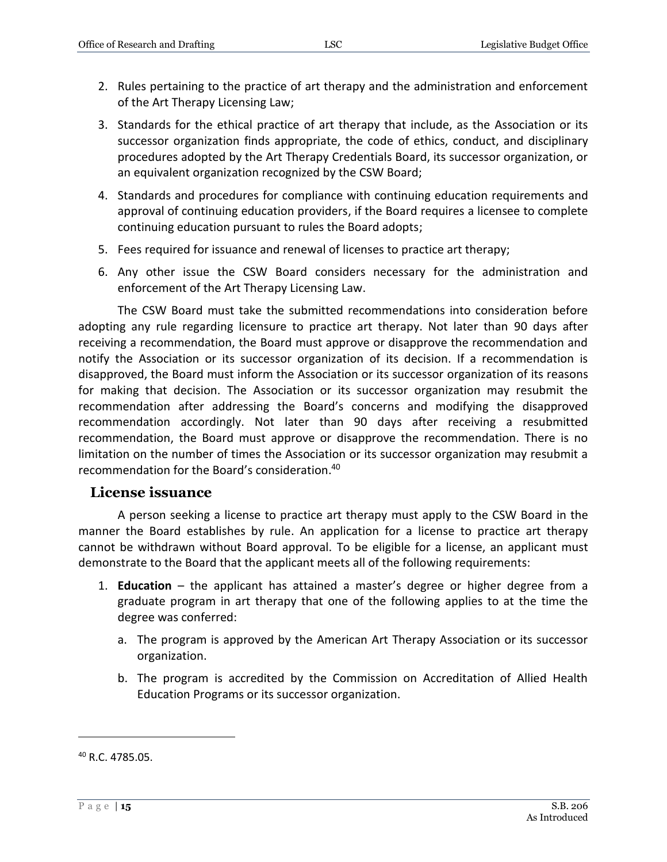- 2. Rules pertaining to the practice of art therapy and the administration and enforcement of the Art Therapy Licensing Law;
- 3. Standards for the ethical practice of art therapy that include, as the Association or its successor organization finds appropriate, the code of ethics, conduct, and disciplinary procedures adopted by the Art Therapy Credentials Board, its successor organization, or an equivalent organization recognized by the CSW Board;
- 4. Standards and procedures for compliance with continuing education requirements and approval of continuing education providers, if the Board requires a licensee to complete continuing education pursuant to rules the Board adopts;
- 5. Fees required for issuance and renewal of licenses to practice art therapy;
- 6. Any other issue the CSW Board considers necessary for the administration and enforcement of the Art Therapy Licensing Law.

The CSW Board must take the submitted recommendations into consideration before adopting any rule regarding licensure to practice art therapy. Not later than 90 days after receiving a recommendation, the Board must approve or disapprove the recommendation and notify the Association or its successor organization of its decision. If a recommendation is disapproved, the Board must inform the Association or its successor organization of its reasons for making that decision. The Association or its successor organization may resubmit the recommendation after addressing the Board's concerns and modifying the disapproved recommendation accordingly. Not later than 90 days after receiving a resubmitted recommendation, the Board must approve or disapprove the recommendation. There is no limitation on the number of times the Association or its successor organization may resubmit a recommendation for the Board's consideration. 40

#### <span id="page-14-0"></span>**License issuance**

A person seeking a license to practice art therapy must apply to the CSW Board in the manner the Board establishes by rule. An application for a license to practice art therapy cannot be withdrawn without Board approval. To be eligible for a license, an applicant must demonstrate to the Board that the applicant meets all of the following requirements:

- 1. **Education** the applicant has attained a master's degree or higher degree from a graduate program in art therapy that one of the following applies to at the time the degree was conferred:
	- a. The program is approved by the American Art Therapy Association or its successor organization.
	- b. The program is accredited by the Commission on Accreditation of Allied Health Education Programs or its successor organization.

<sup>40</sup> R.C. 4785.05.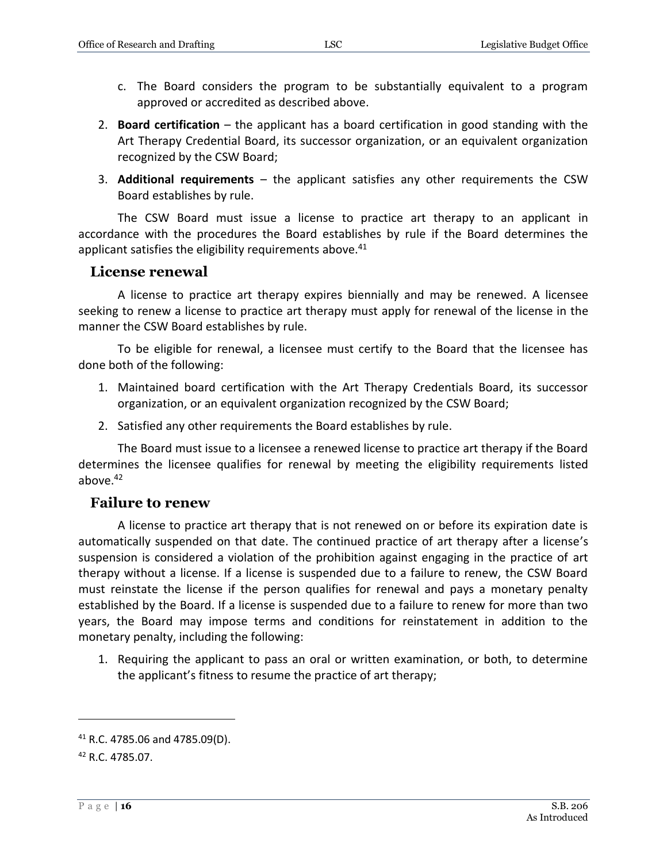- c. The Board considers the program to be substantially equivalent to a program approved or accredited as described above.
- 2. **Board certification** the applicant has a board certification in good standing with the Art Therapy Credential Board, its successor organization, or an equivalent organization recognized by the CSW Board;
- 3. **Additional requirements** the applicant satisfies any other requirements the CSW Board establishes by rule.

The CSW Board must issue a license to practice art therapy to an applicant in accordance with the procedures the Board establishes by rule if the Board determines the applicant satisfies the eligibility requirements above.<sup>41</sup>

#### <span id="page-15-0"></span>**License renewal**

A license to practice art therapy expires biennially and may be renewed. A licensee seeking to renew a license to practice art therapy must apply for renewal of the license in the manner the CSW Board establishes by rule.

To be eligible for renewal, a licensee must certify to the Board that the licensee has done both of the following:

- 1. Maintained board certification with the Art Therapy Credentials Board, its successor organization, or an equivalent organization recognized by the CSW Board;
- 2. Satisfied any other requirements the Board establishes by rule.

The Board must issue to a licensee a renewed license to practice art therapy if the Board determines the licensee qualifies for renewal by meeting the eligibility requirements listed above.<sup>42</sup>

#### <span id="page-15-1"></span>**Failure to renew**

A license to practice art therapy that is not renewed on or before its expiration date is automatically suspended on that date. The continued practice of art therapy after a license's suspension is considered a violation of the prohibition against engaging in the practice of art therapy without a license. If a license is suspended due to a failure to renew, the CSW Board must reinstate the license if the person qualifies for renewal and pays a monetary penalty established by the Board. If a license is suspended due to a failure to renew for more than two years, the Board may impose terms and conditions for reinstatement in addition to the monetary penalty, including the following:

1. Requiring the applicant to pass an oral or written examination, or both, to determine the applicant's fitness to resume the practice of art therapy;

<sup>41</sup> R.C. 4785.06 and 4785.09(D).

<sup>42</sup> R.C. 4785.07.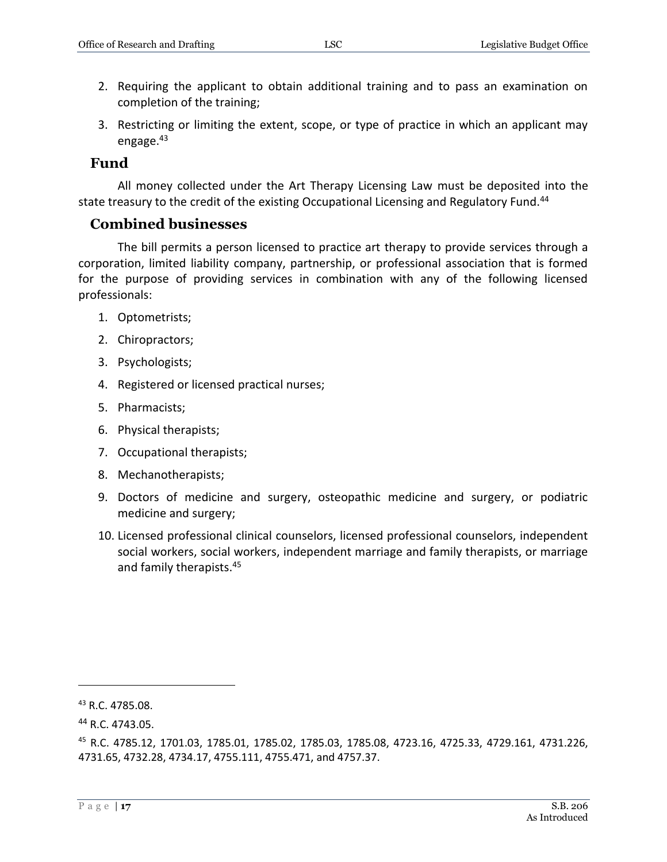- 2. Requiring the applicant to obtain additional training and to pass an examination on completion of the training;
- 3. Restricting or limiting the extent, scope, or type of practice in which an applicant may engage. $43$

#### <span id="page-16-0"></span>**Fund**

All money collected under the Art Therapy Licensing Law must be deposited into the state treasury to the credit of the existing Occupational Licensing and Regulatory Fund.<sup>44</sup>

#### <span id="page-16-1"></span>**Combined businesses**

The bill permits a person licensed to practice art therapy to provide services through a corporation, limited liability company, partnership, or professional association that is formed for the purpose of providing services in combination with any of the following licensed professionals:

- 1. Optometrists;
- 2. Chiropractors;
- 3. Psychologists;
- 4. Registered or licensed practical nurses;
- 5. Pharmacists;
- 6. Physical therapists;
- 7. Occupational therapists;
- 8. Mechanotherapists;
- 9. Doctors of medicine and surgery, osteopathic medicine and surgery, or podiatric medicine and surgery;
- 10. Licensed professional clinical counselors, licensed professional counselors, independent social workers, social workers, independent marriage and family therapists, or marriage and family therapists.<sup>45</sup>

<sup>&</sup>lt;sup>43</sup> R.C. 4785.08.

<sup>44</sup> R.C. 4743.05.

<sup>45</sup> R.C. 4785.12, 1701.03, 1785.01, 1785.02, 1785.03, 1785.08, 4723.16, 4725.33, 4729.161, 4731.226, 4731.65, 4732.28, 4734.17, 4755.111, 4755.471, and 4757.37.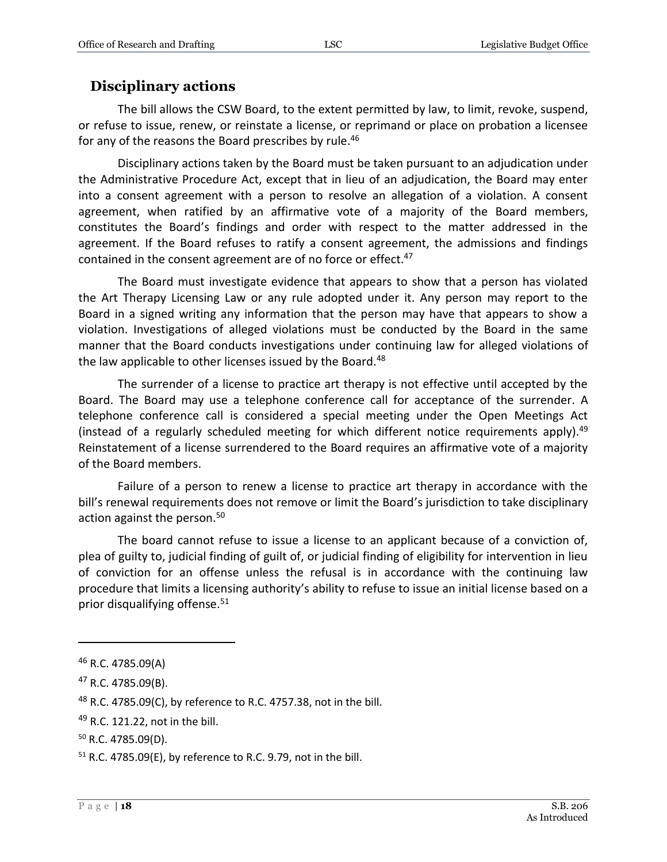## <span id="page-17-0"></span>**Disciplinary actions**

The bill allows the CSW Board, to the extent permitted by law, to limit, revoke, suspend, or refuse to issue, renew, or reinstate a license, or reprimand or place on probation a licensee for any of the reasons the Board prescribes by rule.<sup>46</sup>

Disciplinary actions taken by the Board must be taken pursuant to an adjudication under the Administrative Procedure Act, except that in lieu of an adjudication, the Board may enter into a consent agreement with a person to resolve an allegation of a violation. A consent agreement, when ratified by an affirmative vote of a majority of the Board members, constitutes the Board's findings and order with respect to the matter addressed in the agreement. If the Board refuses to ratify a consent agreement, the admissions and findings contained in the consent agreement are of no force or effect.<sup>47</sup>

The Board must investigate evidence that appears to show that a person has violated the Art Therapy Licensing Law or any rule adopted under it. Any person may report to the Board in a signed writing any information that the person may have that appears to show a violation. Investigations of alleged violations must be conducted by the Board in the same manner that the Board conducts investigations under continuing law for alleged violations of the law applicable to other licenses issued by the Board.<sup>48</sup>

The surrender of a license to practice art therapy is not effective until accepted by the Board. The Board may use a telephone conference call for acceptance of the surrender. A telephone conference call is considered a special meeting under the Open Meetings Act (instead of a regularly scheduled meeting for which different notice requirements apply).<sup>49</sup> Reinstatement of a license surrendered to the Board requires an affirmative vote of a majority of the Board members.

Failure of a person to renew a license to practice art therapy in accordance with the bill's renewal requirements does not remove or limit the Board's jurisdiction to take disciplinary action against the person.<sup>50</sup>

The board cannot refuse to issue a license to an applicant because of a conviction of, plea of guilty to, judicial finding of guilt of, or judicial finding of eligibility for intervention in lieu of conviction for an offense unless the refusal is in accordance with the continuing law procedure that limits a licensing authority's ability to refuse to issue an initial license based on a prior disqualifying offense.<sup>51</sup>

 $46$  R.C. 4785.09(A)

 $47$  R.C. 4785.09(B).

 $48$  R.C. 4785.09(C), by reference to R.C. 4757.38, not in the bill.

<sup>&</sup>lt;sup>49</sup> R.C. 121.22, not in the bill.

<sup>50</sup> R.C. 4785.09(D).

 $51$  R.C. 4785.09(E), by reference to R.C. 9.79, not in the bill.